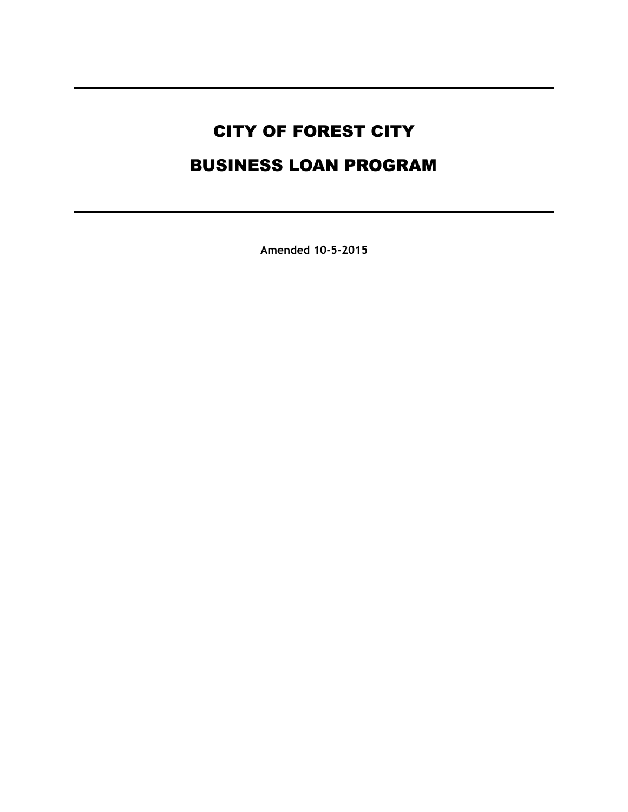# CITY OF FOREST CITY BUSINESS LOAN PROGRAM

**Amended 10-5-2015**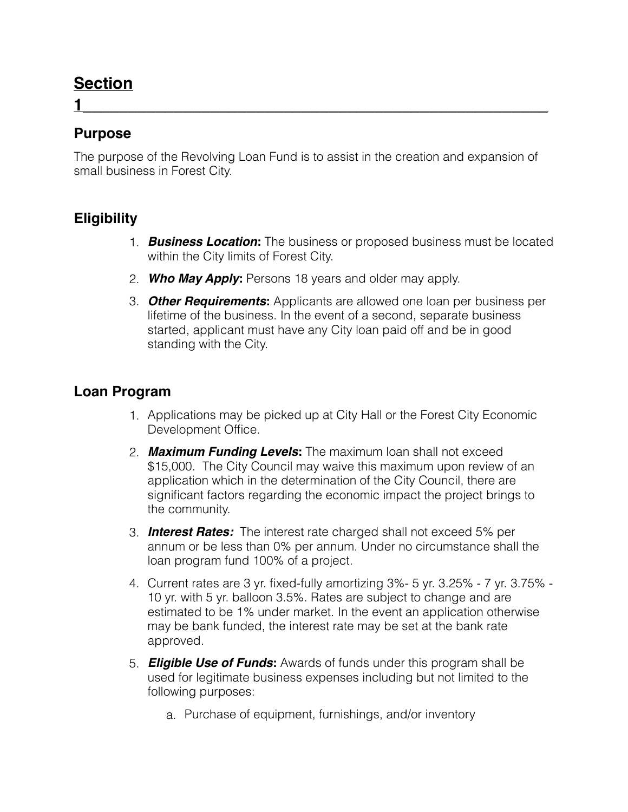### **Section**

#### **Purpose**

The purpose of the Revolving Loan Fund is to assist in the creation and expansion of small business in Forest City.

**1\_\_\_\_\_\_\_\_\_\_\_\_\_\_\_\_\_\_\_\_\_\_\_\_\_\_\_\_\_\_\_\_\_\_\_\_\_\_\_\_\_\_\_\_\_\_\_\_\_\_\_**

#### **Eligibility**

- 1. *Business Location***:** The business or proposed business must be located within the City limits of Forest City.
- 2. *Who May Apply***:** Persons 18 years and older may apply.
- 3. *Other Requirements***:** Applicants are allowed one loan per business per lifetime of the business. In the event of a second, separate business started, applicant must have any City loan paid off and be in good standing with the City.

#### **Loan Program**

- 1. Applications may be picked up at City Hall or the Forest City Economic Development Office.
- 2. *Maximum Funding Levels***:** The maximum loan shall not exceed \$15,000. The City Council may waive this maximum upon review of an application which in the determination of the City Council, there are significant factors regarding the economic impact the project brings to the community.
- 3. *Interest Rates:* The interest rate charged shall not exceed 5% per annum or be less than 0% per annum. Under no circumstance shall the loan program fund 100% of a project.
- 4. Current rates are 3 yr. fixed-fully amortizing 3%- 5 yr. 3.25% 7 yr. 3.75% 10 yr. with 5 yr. balloon 3.5%. Rates are subject to change and are estimated to be 1% under market. In the event an application otherwise may be bank funded, the interest rate may be set at the bank rate approved.
- 5. *Eligible Use of Funds***:** Awards of funds under this program shall be used for legitimate business expenses including but not limited to the following purposes:
	- a. Purchase of equipment, furnishings, and/or inventory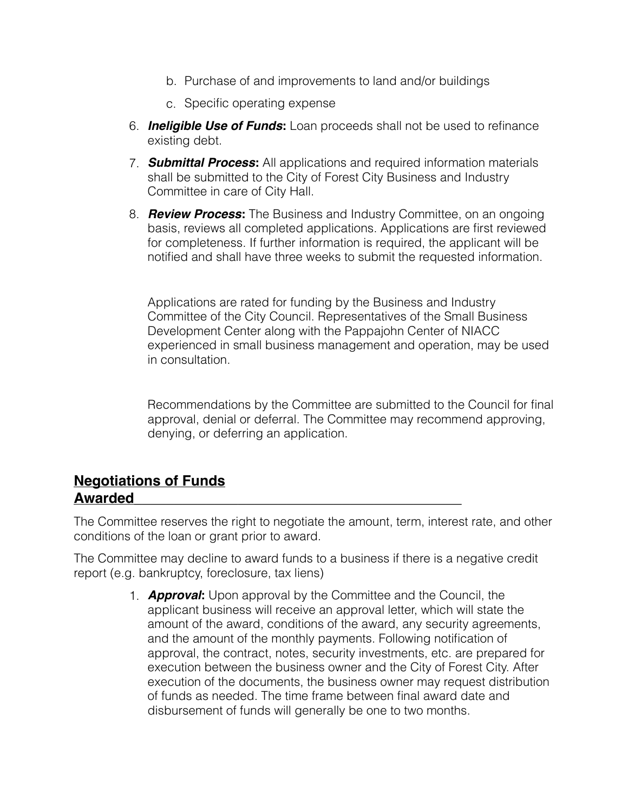- b. Purchase of and improvements to land and/or buildings
- c. Specific operating expense
- 6. *Ineligible Use of Funds***:** Loan proceeds shall not be used to refinance existing debt.
- 7. *Submittal Process***:** All applications and required information materials shall be submitted to the City of Forest City Business and Industry Committee in care of City Hall.
- 8. *Review Process***:** The Business and Industry Committee, on an ongoing basis, reviews all completed applications. Applications are first reviewed for completeness. If further information is required, the applicant will be notified and shall have three weeks to submit the requested information.

Applications are rated for funding by the Business and Industry Committee of the City Council. Representatives of the Small Business Development Center along with the Pappajohn Center of NIACC experienced in small business management and operation, may be used in consultation.

Recommendations by the Committee are submitted to the Council for final approval, denial or deferral. The Committee may recommend approving, denying, or deferring an application.

#### **Negotiations of Funds Awarded\_\_\_\_\_\_\_\_\_\_\_\_\_\_\_\_\_\_\_\_\_\_\_\_\_\_\_\_\_\_\_\_\_\_\_\_\_\_\_\_\_**

The Committee reserves the right to negotiate the amount, term, interest rate, and other conditions of the loan or grant prior to award.

The Committee may decline to award funds to a business if there is a negative credit report (e.g. bankruptcy, foreclosure, tax liens)

> 1. *Approval***:** Upon approval by the Committee and the Council, the applicant business will receive an approval letter, which will state the amount of the award, conditions of the award, any security agreements, and the amount of the monthly payments. Following notification of approval, the contract, notes, security investments, etc. are prepared for execution between the business owner and the City of Forest City. After execution of the documents, the business owner may request distribution of funds as needed. The time frame between final award date and disbursement of funds will generally be one to two months.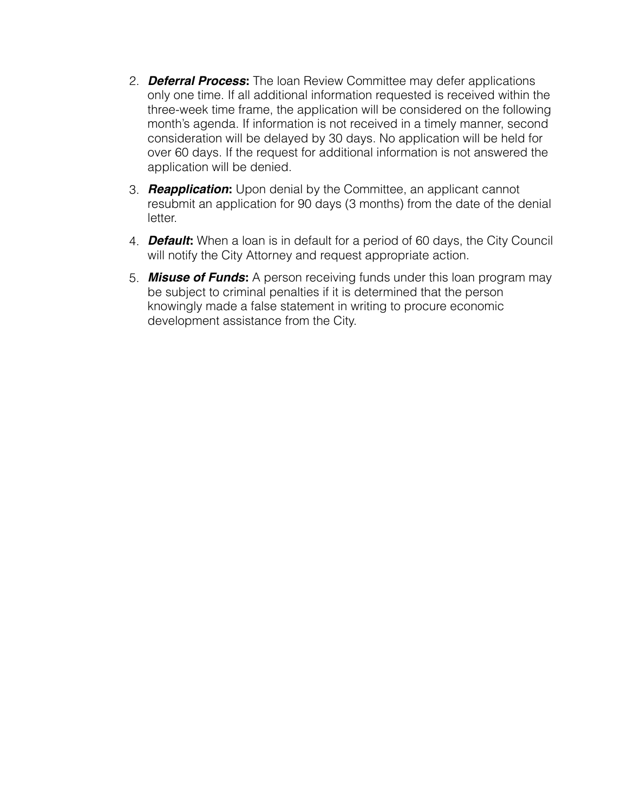- 2. *Deferral Process***:** The loan Review Committee may defer applications only one time. If all additional information requested is received within the three-week time frame, the application will be considered on the following month's agenda. If information is not received in a timely manner, second consideration will be delayed by 30 days. No application will be held for over 60 days. If the request for additional information is not answered the application will be denied.
- 3. *Reapplication***:** Upon denial by the Committee, an applicant cannot resubmit an application for 90 days (3 months) from the date of the denial letter.
- 4. *Default***:** When a loan is in default for a period of 60 days, the City Council will notify the City Attorney and request appropriate action.
- 5. *Misuse of Funds***:** A person receiving funds under this loan program may be subject to criminal penalties if it is determined that the person knowingly made a false statement in writing to procure economic development assistance from the City.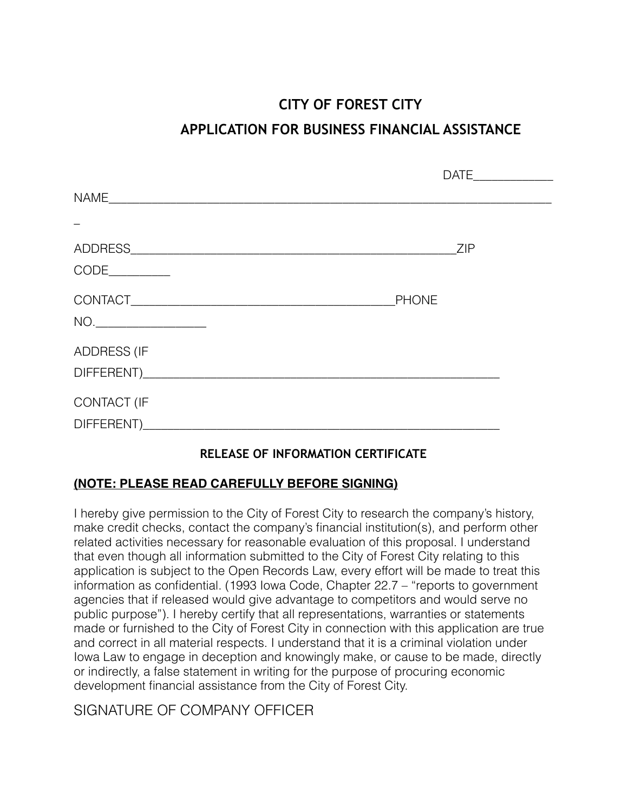## **CITY OF FOREST CITY APPLICATION FOR BUSINESS FINANCIAL ASSISTANCE**

|                                                                                                                                                                                                                                                                                                                                                                                             |              | DATE_______________ |
|---------------------------------------------------------------------------------------------------------------------------------------------------------------------------------------------------------------------------------------------------------------------------------------------------------------------------------------------------------------------------------------------|--------------|---------------------|
|                                                                                                                                                                                                                                                                                                                                                                                             |              |                     |
|                                                                                                                                                                                                                                                                                                                                                                                             |              |                     |
|                                                                                                                                                                                                                                                                                                                                                                                             | ZIP          |                     |
| $CODE$ $\qquad \qquad$                                                                                                                                                                                                                                                                                                                                                                      |              |                     |
| $\begin{picture}(150,10) \put(0,0){\dashbox{0.5}(10,0){ }} \put(15,0){\circle{10}} \put(15,0){\circle{10}} \put(15,0){\circle{10}} \put(15,0){\circle{10}} \put(15,0){\circle{10}} \put(15,0){\circle{10}} \put(15,0){\circle{10}} \put(15,0){\circle{10}} \put(15,0){\circle{10}} \put(15,0){\circle{10}} \put(15,0){\circle{10}} \put(15,0){\circle{10}} \put(15,0){\circle{10}} \put(15$ | <b>PHONE</b> |                     |
| <b>ADDRESS (IF</b>                                                                                                                                                                                                                                                                                                                                                                          |              |                     |
| <b>CONTACT (IF</b>                                                                                                                                                                                                                                                                                                                                                                          | DIFFERENT)   |                     |

#### **RELEASE OF INFORMATION CERTIFICATE**

#### **(NOTE: PLEASE READ CAREFULLY BEFORE SIGNING)**

I hereby give permission to the City of Forest City to research the company's history, make credit checks, contact the company's financial institution(s), and perform other related activities necessary for reasonable evaluation of this proposal. I understand that even though all information submitted to the City of Forest City relating to this application is subject to the Open Records Law, every effort will be made to treat this information as confidential. (1993 Iowa Code, Chapter 22.7 – "reports to government agencies that if released would give advantage to competitors and would serve no public purpose"). I hereby certify that all representations, warranties or statements made or furnished to the City of Forest City in connection with this application are true and correct in all material respects. I understand that it is a criminal violation under Iowa Law to engage in deception and knowingly make, or cause to be made, directly or indirectly, a false statement in writing for the purpose of procuring economic development financial assistance from the City of Forest City.

#### SIGNATURE OF COMPANY OFFICER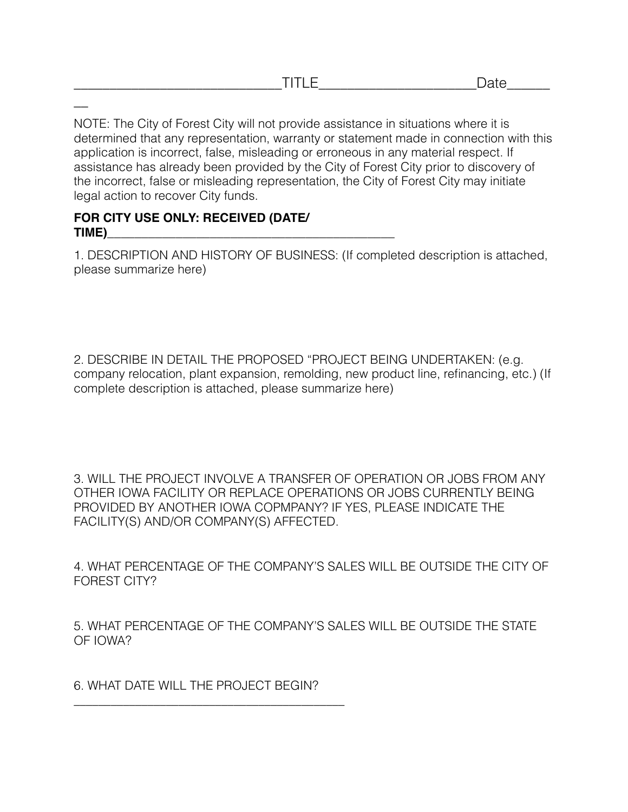NOTE: The City of Forest City will not provide assistance in situations where it is determined that any representation, warranty or statement made in connection with this application is incorrect, false, misleading or erroneous in any material respect. If assistance has already been provided by the City of Forest City prior to discovery of the incorrect, false or misleading representation, the City of Forest City may initiate legal action to recover City funds.

#### **FOR CITY USE ONLY: RECEIVED (DATE/ TIME)**

 $\overline{\phantom{a}}$ 

1. DESCRIPTION AND HISTORY OF BUSINESS: (If completed description is attached, please summarize here)

2. DESCRIBE IN DETAIL THE PROPOSED "PROJECT BEING UNDERTAKEN: (e.g. company relocation, plant expansion, remolding, new product line, refinancing, etc.) (If complete description is attached, please summarize here)

3. WILL THE PROJECT INVOLVE A TRANSFER OF OPERATION OR JOBS FROM ANY OTHER IOWA FACILITY OR REPLACE OPERATIONS OR JOBS CURRENTLY BEING PROVIDED BY ANOTHER IOWA COPMPANY? IF YES, PLEASE INDICATE THE FACILITY(S) AND/OR COMPANY(S) AFFECTED.

4. WHAT PERCENTAGE OF THE COMPANY'S SALES WILL BE OUTSIDE THE CITY OF FOREST CITY?

5. WHAT PERCENTAGE OF THE COMPANY'S SALES WILL BE OUTSIDE THE STATE OF IOWA?

6. WHAT DATE WILL THE PROJECT BEGIN?

\_\_\_\_\_\_\_\_\_\_\_\_\_\_\_\_\_\_\_\_\_\_\_\_\_\_\_\_\_\_\_\_\_\_\_\_\_\_\_\_\_\_\_\_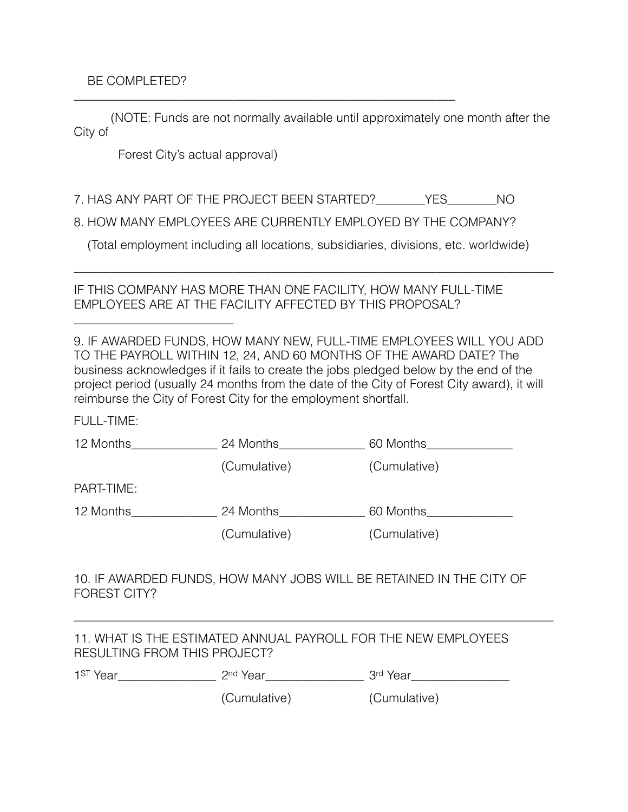#### BE COMPLETED?

\_\_\_\_\_\_\_\_\_\_\_\_\_\_\_\_\_\_\_\_\_\_\_\_\_\_

 (NOTE: Funds are not normally available until approximately one month after the City of

Forest City's actual approval)

7. HAS ANY PART OF THE PROJECT BEEN STARTED?\_\_\_\_\_\_\_\_YES\_\_\_\_\_\_\_\_NO

\_\_\_\_\_\_\_\_\_\_\_\_\_\_\_\_\_\_\_\_\_\_\_\_\_\_\_\_\_\_\_\_\_\_\_\_\_\_\_\_\_\_\_\_\_\_\_\_\_\_\_\_\_\_\_\_\_\_\_\_\_\_

8. HOW MANY EMPLOYEES ARE CURRENTLY EMPLOYED BY THE COMPANY?

(Total employment including all locations, subsidiaries, divisions, etc. worldwide)

\_\_\_\_\_\_\_\_\_\_\_\_\_\_\_\_\_\_\_\_\_\_\_\_\_\_\_\_\_\_\_\_\_\_\_\_\_\_\_\_\_\_\_\_\_\_\_\_\_\_\_\_\_\_\_\_\_\_\_\_\_\_\_\_\_\_\_\_\_\_\_\_\_\_\_\_\_\_

IF THIS COMPANY HAS MORE THAN ONE FACILITY, HOW MANY FULL-TIME EMPLOYEES ARE AT THE FACILITY AFFECTED BY THIS PROPOSAL?

9. IF AWARDED FUNDS, HOW MANY NEW, FULL-TIME EMPLOYEES WILL YOU ADD TO THE PAYROLL WITHIN 12, 24, AND 60 MONTHS OF THE AWARD DATE? The business acknowledges if it fails to create the jobs pledged below by the end of the project period (usually 24 months from the date of the City of Forest City award), it will reimburse the City of Forest City for the employment shortfall.

FULL-TIME:

| 12 Months  | 24 Months    | 60 Months                                                                                |
|------------|--------------|------------------------------------------------------------------------------------------|
|            | (Cumulative) | (Cumulative)                                                                             |
| PART-TIME: |              |                                                                                          |
| 12 Months  | 24 Months    | 60 Months                                                                                |
|            | (Cumulative) | (Cumulative)                                                                             |
|            |              |                                                                                          |
|            |              | ***** DDED. EI 11. IDA. I 1. AN I 1. IN I 1. ADA. 14. II I 1. DE DETAINTE IN THE AITH AF |

10. IF AWARDED FUNDS, HOW MANY JOBS WILL BE RETAINED IN THE CITY OF FOREST CITY?

\_\_\_\_\_\_\_\_\_\_\_\_\_\_\_\_\_\_\_\_\_\_\_\_\_\_\_\_\_\_\_\_\_\_\_\_\_\_\_\_\_\_\_\_\_\_\_\_\_\_\_\_\_\_\_\_\_\_\_\_\_\_\_\_\_\_\_\_\_\_\_\_\_\_\_\_\_\_

11. WHAT IS THE ESTIMATED ANNUAL PAYROLL FOR THE NEW EMPLOYEES RESULTING FROM THIS PROJECT?

| 4C <sub>T</sub>                 |     | ∩rd i<br>--   |
|---------------------------------|-----|---------------|
| $\cdot$<br>ו טו                 | วnd | .             |
| $\sim$<br>$\tilde{\phantom{a}}$ | vu. | $-\mathbf{v}$ |

(Cumulative) (Cumulative)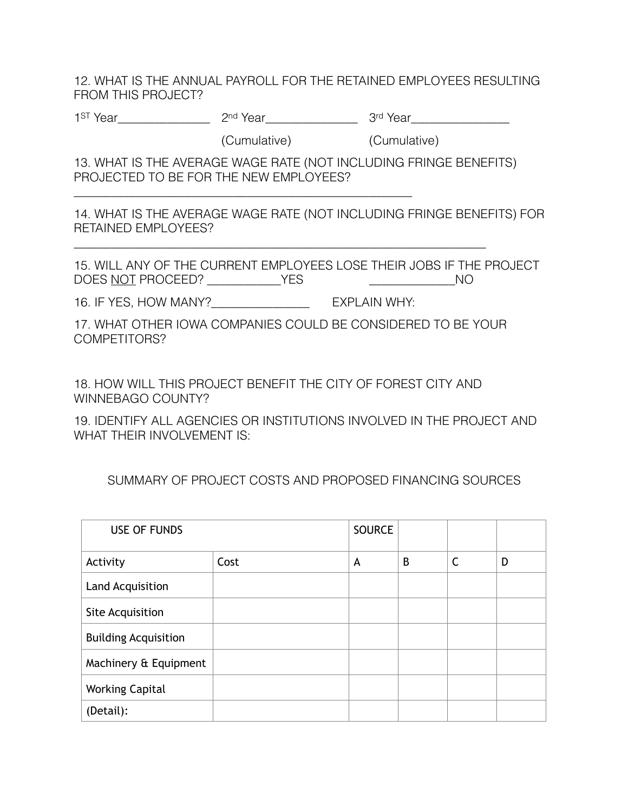12. WHAT IS THE ANNUAL PAYROLL FOR THE RETAINED EMPLOYEES RESULTING FROM THIS PROJECT?

1st Year\_\_\_\_\_\_\_\_\_\_\_\_\_\_\_\_\_\_\_\_\_ 2nd Year\_\_\_\_\_\_\_\_\_\_\_\_\_\_\_\_\_\_\_\_\_\_\_\_\_3rd Year\_\_\_\_\_\_\_\_\_\_\_\_\_\_\_\_\_\_\_\_\_\_\_\_\_\_\_\_

(Cumulative) (Cumulative)

13. WHAT IS THE AVERAGE WAGE RATE (NOT INCLUDING FRINGE BENEFITS) PROJECTED TO BE FOR THE NEW EMPLOYEES?

14. WHAT IS THE AVERAGE WAGE RATE (NOT INCLUDING FRINGE BENEFITS) FOR RETAINED EMPLOYEES?

15. WILL ANY OF THE CURRENT EMPLOYEES LOSE THEIR JOBS IF THE PROJECT DOES NOT PROCEED? \_\_\_\_\_\_\_\_\_\_\_\_YES \_\_\_\_\_\_\_\_\_\_\_\_\_\_NO

16. IF YES, HOW MANY?\_\_\_\_\_\_\_\_\_\_\_\_\_\_\_\_ EXPLAIN WHY:

\_\_\_\_\_\_\_\_\_\_\_\_\_\_\_\_\_\_\_\_\_\_\_\_\_\_\_\_\_\_\_\_\_\_\_\_\_\_\_\_\_\_\_\_\_\_\_\_\_\_\_\_\_\_\_

17. WHAT OTHER IOWA COMPANIES COULD BE CONSIDERED TO BE YOUR COMPETITORS?

\_\_\_\_\_\_\_\_\_\_\_\_\_\_\_\_\_\_\_\_\_\_\_\_\_\_\_\_\_\_\_\_\_\_\_\_\_\_\_\_\_\_\_\_\_\_\_\_\_\_\_\_\_\_\_\_\_\_\_\_\_\_\_\_\_\_\_

18. HOW WILL THIS PROJECT BENEFIT THE CITY OF FOREST CITY AND WINNEBAGO COUNTY?

19. IDENTIFY ALL AGENCIES OR INSTITUTIONS INVOLVED IN THE PROJECT AND WHAT THEIR INVOLVEMENT IS:

SUMMARY OF PROJECT COSTS AND PROPOSED FINANCING SOURCES

| <b>USE OF FUNDS</b>         |      | <b>SOURCE</b> |   |              |   |
|-----------------------------|------|---------------|---|--------------|---|
| Activity                    | Cost | A             | B | $\mathsf{C}$ | D |
| Land Acquisition            |      |               |   |              |   |
| Site Acquisition            |      |               |   |              |   |
| <b>Building Acquisition</b> |      |               |   |              |   |
| Machinery & Equipment       |      |               |   |              |   |
| <b>Working Capital</b>      |      |               |   |              |   |
| (Detail):                   |      |               |   |              |   |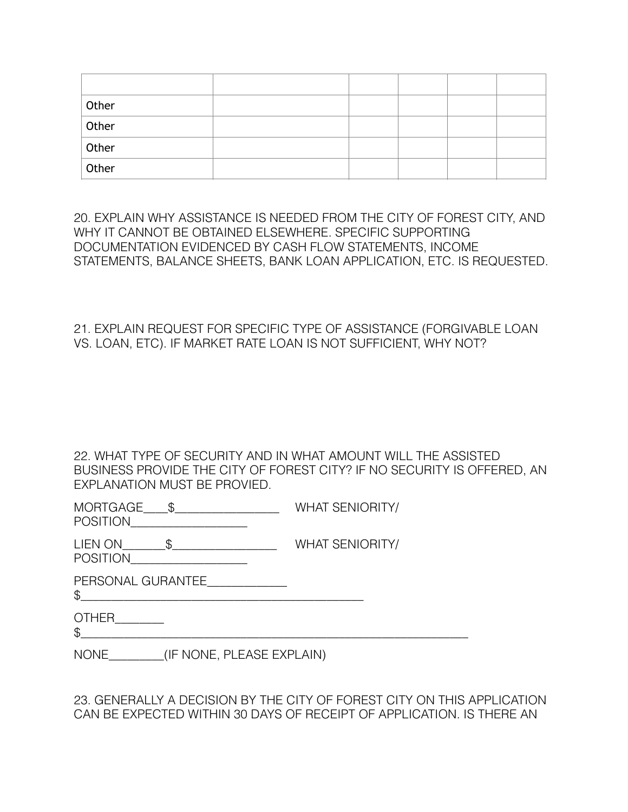| Other |  |  |  |
|-------|--|--|--|
| Other |  |  |  |
| Other |  |  |  |
| Other |  |  |  |

20. EXPLAIN WHY ASSISTANCE IS NEEDED FROM THE CITY OF FOREST CITY, AND WHY IT CANNOT BE OBTAINED ELSEWHERE. SPECIFIC SUPPORTING DOCUMENTATION EVIDENCED BY CASH FLOW STATEMENTS, INCOME STATEMENTS, BALANCE SHEETS, BANK LOAN APPLICATION, ETC. IS REQUESTED.

21. EXPLAIN REQUEST FOR SPECIFIC TYPE OF ASSISTANCE (FORGIVABLE LOAN VS. LOAN, ETC). IF MARKET RATE LOAN IS NOT SUFFICIENT, WHY NOT?

| 22. WHAT TYPE OF SECURITY AND IN WHAT AMOUNT WILL THE ASSISTED          |
|-------------------------------------------------------------------------|
| BUSINESS PROVIDE THE CITY OF FOREST CITY? IF NO SECURITY IS OFFERED, AN |
| EXPLANATION MUST BE PROVIED.                                            |

| <b>MORTGAGE</b> | <b>WHAT SENIORITY/</b> |
|-----------------|------------------------|
|                 |                        |

POSITION\_\_\_\_\_\_\_\_\_\_\_\_\_\_\_\_\_\_\_

| <b>LIEN ON</b>  | <b>WHAT SENIORITY/</b> |
|-----------------|------------------------|
| <b>POSITION</b> |                        |

PERSONAL GURANTEE

 $\mathcal{S}$ 

OTHER\_\_\_\_\_\_\_\_  $\frac{1}{2}$ 

NONE (IF NONE, PLEASE EXPLAIN)

23. GENERALLY A DECISION BY THE CITY OF FOREST CITY ON THIS APPLICATION CAN BE EXPECTED WITHIN 30 DAYS OF RECEIPT OF APPLICATION. IS THERE AN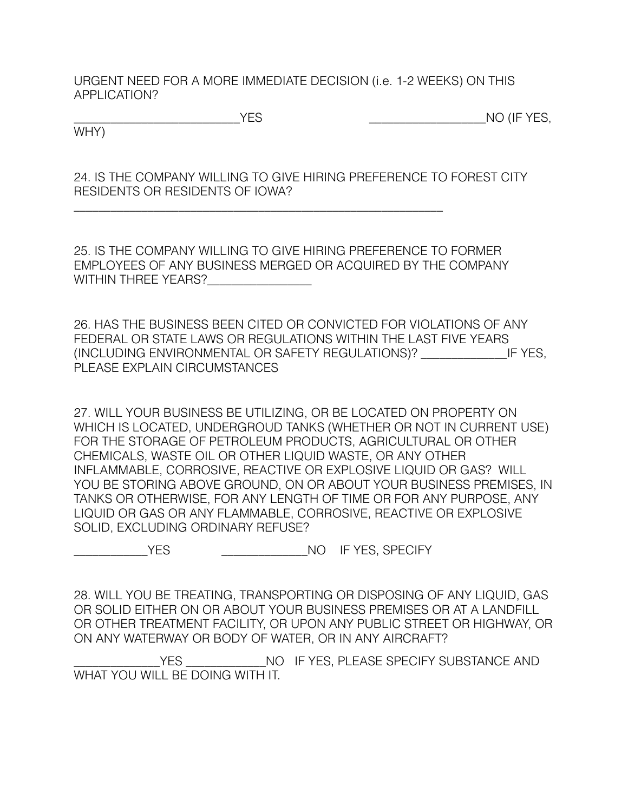URGENT NEED FOR A MORE IMMEDIATE DECISION (i.e. 1-2 WEEKS) ON THIS APPLICATION?

WHY)

\_\_\_\_\_\_\_\_\_\_\_\_\_\_\_\_\_\_\_\_\_\_\_\_\_\_\_\_\_\_\_\_\_\_\_\_\_\_\_\_\_\_\_\_\_\_\_\_\_\_\_\_\_\_\_\_\_\_\_\_

\_\_\_\_\_\_\_\_\_\_\_\_\_\_\_\_\_\_\_\_\_\_\_\_\_\_\_YES \_\_\_\_\_\_\_\_\_\_\_\_\_\_\_\_\_\_\_NO (IF YES,

24. IS THE COMPANY WILLING TO GIVE HIRING PREFERENCE TO FOREST CITY RESIDENTS OR RESIDENTS OF IOWA?

25. IS THE COMPANY WILLING TO GIVE HIRING PREFERENCE TO FORMER EMPLOYEES OF ANY BUSINESS MERGED OR ACQUIRED BY THE COMPANY WITHIN THREE YEARS?

26. HAS THE BUSINESS BEEN CITED OR CONVICTED FOR VIOLATIONS OF ANY FEDERAL OR STATE LAWS OR REGULATIONS WITHIN THE LAST FIVE YEARS (INCLUDING ENVIRONMENTAL OR SAFETY REGULATIONS)? \_\_\_\_\_\_\_\_\_\_\_\_\_\_IF YES, PLEASE EXPLAIN CIRCUMSTANCES

27. WILL YOUR BUSINESS BE UTILIZING, OR BE LOCATED ON PROPERTY ON WHICH IS LOCATED, UNDERGROUD TANKS (WHETHER OR NOT IN CURRENT USE) FOR THE STORAGE OF PETROLEUM PRODUCTS, AGRICULTURAL OR OTHER CHEMICALS, WASTE OIL OR OTHER LIQUID WASTE, OR ANY OTHER INFLAMMABLE, CORROSIVE, REACTIVE OR EXPLOSIVE LIQUID OR GAS? WILL YOU BE STORING ABOVE GROUND, ON OR ABOUT YOUR BUSINESS PREMISES, IN TANKS OR OTHERWISE, FOR ANY LENGTH OF TIME OR FOR ANY PURPOSE, ANY LIQUID OR GAS OR ANY FLAMMABLE, CORROSIVE, REACTIVE OR EXPLOSIVE SOLID, EXCLUDING ORDINARY REFUSE?

\_\_\_\_\_\_\_\_\_\_\_\_YES \_\_\_\_\_\_\_\_\_\_\_\_\_\_NO IF YES, SPECIFY

28. WILL YOU BE TREATING, TRANSPORTING OR DISPOSING OF ANY LIQUID, GAS OR SOLID EITHER ON OR ABOUT YOUR BUSINESS PREMISES OR AT A LANDFILL OR OTHER TREATMENT FACILITY, OR UPON ANY PUBLIC STREET OR HIGHWAY, OR ON ANY WATERWAY OR BODY OF WATER, OR IN ANY AIRCRAFT?

YES \_\_\_\_\_\_\_\_\_\_\_\_\_NO IF YES, PLEASE SPECIFY SUBSTANCE AND WHAT YOU WILL BE DOING WITH IT.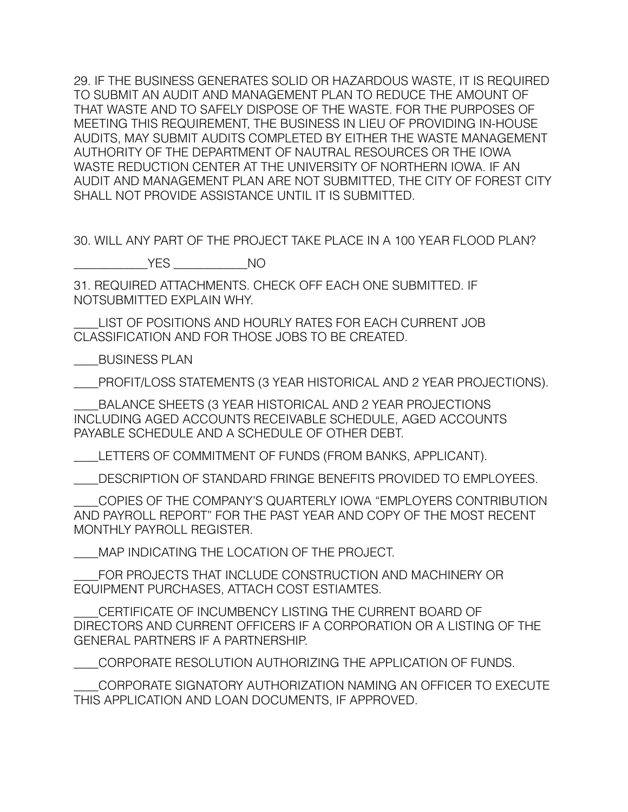29. IF THE BUSINESS GENERATES SOLID OR HAZARDOUS WASTE, IT IS REQUIRED TO SUBMIT AN AUDIT AND MANAGEMENT PLAN TO REDUCE THE AMOUNT OF THAT WASTE AND TO SAFELY DISPOSE OF THE WASTE. FOR THE PURPOSES OF MEETING THIS REQUIREMENT, THE BUSINESS IN LIEU OF PROVIDING IN-HOUSE AUDITS, MAY SUBMIT AUDITS COMPLETED BY EITHER THE WASTE MANAGEMENT AUTHORITY OF THE DEPARTMENT OF NAUTRAL RESOURCES OR THE IOWA WASTE REDUCTION CENTER AT THE UNIVERSITY OF NORTHERN IOWA. IF AN AUDIT AND MANAGEMENT PLAN ARE NOT SUBMITTED, THE CITY OF FOREST CITY SHALL NOT PROVIDE ASSISTANCE UNTIL IT IS SUBMITTED.

30. WILL ANY PART OF THE PROJECT TAKE PLACE IN A 100 YEAR FLOOD PLAN?

\_\_\_\_\_\_\_\_\_\_\_\_YES \_\_\_\_\_\_\_\_\_\_\_\_NO

31. REQUIRED ATTACHMENTS. CHECK OFF EACH ONE SUBMITTED. IF NOTSUBMITTED EXPLAIN WHY.

\_\_\_\_LIST OF POSITIONS AND HOURLY RATES FOR EACH CURRENT JOB CLASSIFICATION AND FOR THOSE JOBS TO BE CREATED.

\_\_\_\_BUSINESS PLAN

\_\_\_\_PROFIT/LOSS STATEMENTS (3 YEAR HISTORICAL AND 2 YEAR PROJECTIONS).

\_\_\_\_BALANCE SHEETS (3 YEAR HISTORICAL AND 2 YEAR PROJECTIONS INCLUDING AGED ACCOUNTS RECEIVABLE SCHEDULE, AGED ACCOUNTS PAYABLE SCHEDULE AND A SCHEDULE OF OTHER DEBT.

\_\_\_\_LETTERS OF COMMITMENT OF FUNDS (FROM BANKS, APPLICANT).

\_\_\_\_DESCRIPTION OF STANDARD FRINGE BENEFITS PROVIDED TO EMPLOYEES.

\_\_\_\_COPIES OF THE COMPANY'S QUARTERLY IOWA "EMPLOYERS CONTRIBUTION AND PAYROLL REPORT" FOR THE PAST YEAR AND COPY OF THE MOST RECENT MONTHLY PAYROLL REGISTER.

\_\_\_\_MAP INDICATING THE LOCATION OF THE PROJECT.

\_\_\_\_FOR PROJECTS THAT INCLUDE CONSTRUCTION AND MACHINERY OR EQUIPMENT PURCHASES, ATTACH COST ESTIAMTES.

\_\_\_\_CERTIFICATE OF INCUMBENCY LISTING THE CURRENT BOARD OF DIRECTORS AND CURRENT OFFICERS IF A CORPORATION OR A LISTING OF THE GENERAL PARTNERS IF A PARTNERSHIP.

\_\_\_\_CORPORATE RESOLUTION AUTHORIZING THE APPLICATION OF FUNDS.

\_\_\_\_CORPORATE SIGNATORY AUTHORIZATION NAMING AN OFFICER TO EXECUTE THIS APPLICATION AND LOAN DOCUMENTS, IF APPROVED.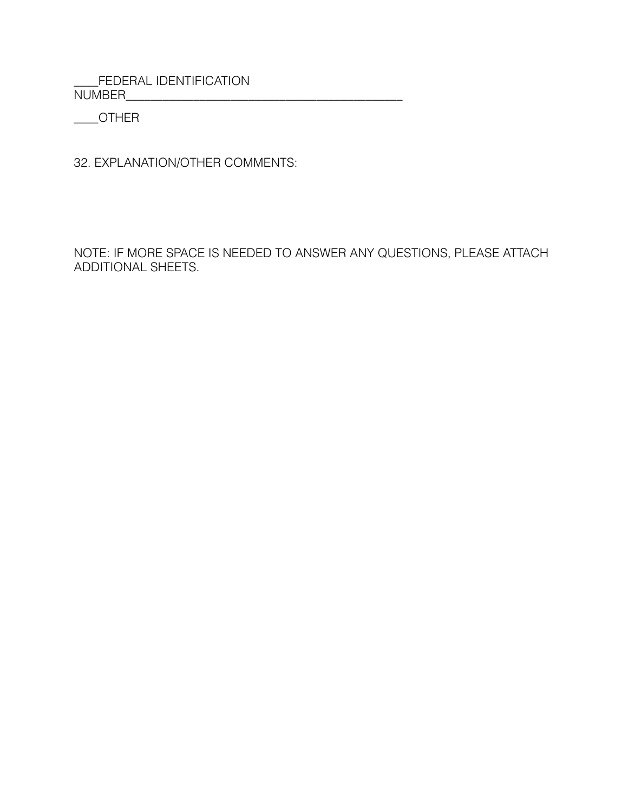\_\_\_\_FEDERAL IDENTIFICATION NUMBER\_\_\_\_\_\_\_\_\_\_\_\_\_\_\_\_\_\_\_\_\_\_\_\_\_\_\_\_\_\_\_\_\_\_\_\_\_\_\_\_\_\_\_\_\_

\_\_\_\_OTHER

32. EXPLANATION/OTHER COMMENTS:

NOTE: IF MORE SPACE IS NEEDED TO ANSWER ANY QUESTIONS, PLEASE ATTACH ADDITIONAL SHEETS.